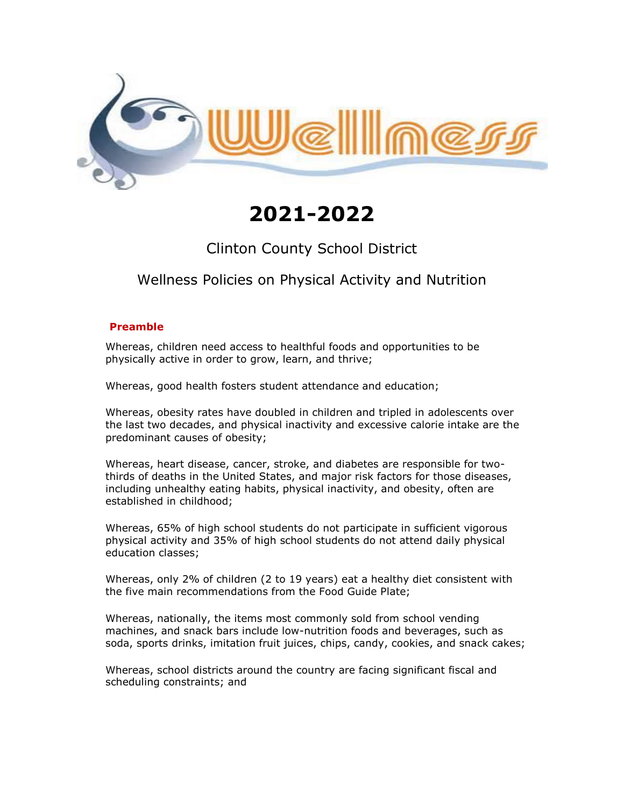

# **2021-2022**

# Clinton County School District

# Wellness Policies on Physical Activity and Nutrition

#### **Preamble**

Whereas, children need access to healthful foods and opportunities to be physically active in order to grow, learn, and thrive;

Whereas, good health fosters student attendance and education;

Whereas, obesity rates have doubled in children and tripled in adolescents over the last two decades, and physical inactivity and excessive calorie intake are the predominant causes of obesity;

Whereas, heart disease, cancer, stroke, and diabetes are responsible for twothirds of deaths in the United States, and major risk factors for those diseases, including unhealthy eating habits, physical inactivity, and obesity, often are established in childhood;

Whereas, 65% of high school students do not participate in sufficient vigorous physical activity and 35% of high school students do not attend daily physical education classes;

Whereas, only 2% of children (2 to 19 years) eat a healthy diet consistent with the five main recommendations from the Food Guide Plate;

Whereas, nationally, the items most commonly sold from school vending machines, and snack bars include low-nutrition foods and beverages, such as soda, sports drinks, imitation fruit juices, chips, candy, cookies, and snack cakes;

Whereas, school districts around the country are facing significant fiscal and scheduling constraints; and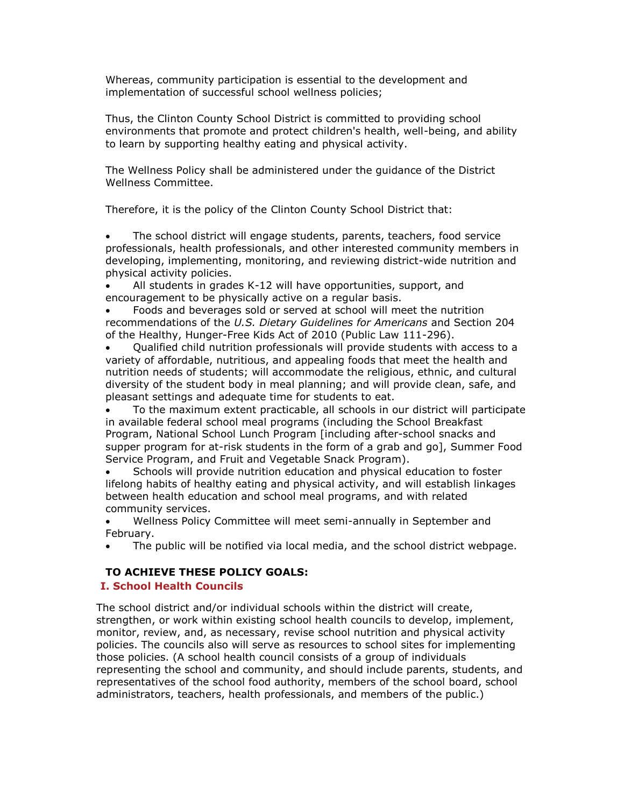Whereas, community participation is essential to the development and implementation of successful school wellness policies;

Thus, the Clinton County School District is committed to providing school environments that promote and protect children's health, well-being, and ability to learn by supporting healthy eating and physical activity.

The Wellness Policy shall be administered under the guidance of the District Wellness Committee.

Therefore, it is the policy of the Clinton County School District that:

 The school district will engage students, parents, teachers, food service professionals, health professionals, and other interested community members in developing, implementing, monitoring, and reviewing district-wide nutrition and physical activity policies.

 All students in grades K-12 will have opportunities, support, and encouragement to be physically active on a regular basis.

 Foods and beverages sold or served at school will meet the nutrition recommendations of the *U.S. Dietary Guidelines for Americans* and Section 204 of the Healthy, Hunger-Free Kids Act of 2010 (Public Law 111-296).

 Qualified child nutrition professionals will provide students with access to a variety of affordable, nutritious, and appealing foods that meet the health and nutrition needs of students; will accommodate the religious, ethnic, and cultural diversity of the student body in meal planning; and will provide clean, safe, and pleasant settings and adequate time for students to eat.

 To the maximum extent practicable, all schools in our district will participate in available federal school meal programs (including the School Breakfast Program, National School Lunch Program [including after-school snacks and supper program for at-risk students in the form of a grab and go], Summer Food Service Program, and Fruit and Vegetable Snack Program).

 Schools will provide nutrition education and physical education to foster lifelong habits of healthy eating and physical activity, and will establish linkages between health education and school meal programs, and with related community services.

 Wellness Policy Committee will meet semi-annually in September and February.

The public will be notified via local media, and the school district webpage.

# **TO ACHIEVE THESE POLICY GOALS:**

# **I. School Health Councils**

The school district and/or individual schools within the district will create, strengthen, or work within existing school health councils to develop, implement, monitor, review, and, as necessary, revise school nutrition and physical activity policies. The councils also will serve as resources to school sites for implementing those policies. (A school health council consists of a group of individuals representing the school and community, and should include parents, students, and representatives of the school food authority, members of the school board, school administrators, teachers, health professionals, and members of the public.)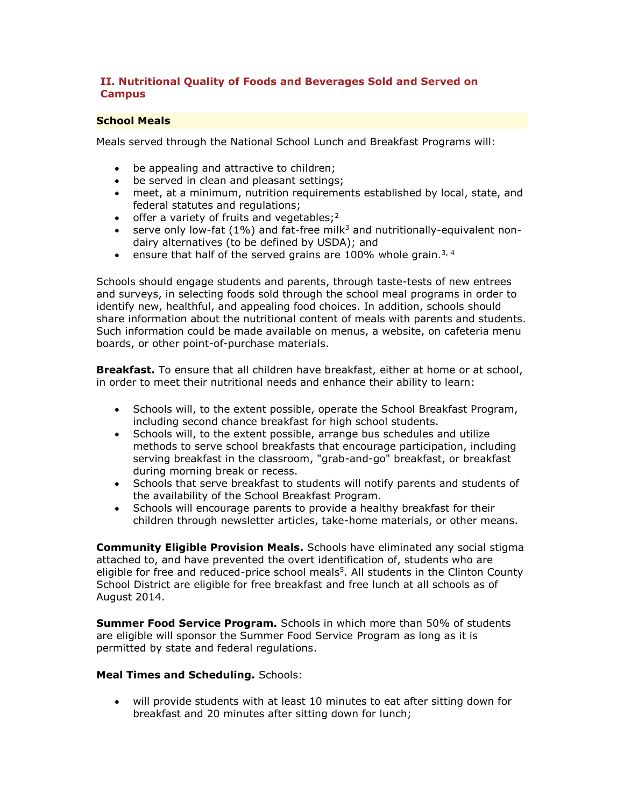### **II. Nutritional Quality of Foods and Beverages Sold and Served on Campus**

#### **School Meals**

Meals served through the National School Lunch and Breakfast Programs will:

- be appealing and attractive to children;
- be served in clean and pleasant settings;
- meet, at a minimum, nutrition requirements established by local, state, and federal statutes and regulations;
- $\bullet$  offer a variety of fruits and vegetables;<sup>2</sup>
- **serve only low-fat (1%) and fat-free milk**<sup>3</sup> and nutritionally-equivalent nondairy alternatives (to be defined by USDA); and
- ensure that half of the served grains are 100% whole grain.<sup>3, 4</sup>

Schools should engage students and parents, through taste-tests of new entrees and surveys, in selecting foods sold through the school meal programs in order to identify new, healthful, and appealing food choices. In addition, schools should share information about the nutritional content of meals with parents and students. Such information could be made available on menus, a website, on cafeteria menu boards, or other point-of-purchase materials.

**Breakfast.** To ensure that all children have breakfast, either at home or at school, in order to meet their nutritional needs and enhance their ability to learn:

- Schools will, to the extent possible, operate the School Breakfast Program, including second chance breakfast for high school students.
- Schools will, to the extent possible, arrange bus schedules and utilize methods to serve school breakfasts that encourage participation, including serving breakfast in the classroom, "grab-and-go" breakfast, or breakfast during morning break or recess.
- Schools that serve breakfast to students will notify parents and students of the availability of the School Breakfast Program.
- Schools will encourage parents to provide a healthy breakfast for their children through newsletter articles, take-home materials, or other means.

**Community Eligible Provision Meals.** Schools have eliminated any social stigma attached to, and have prevented the overt identification of, students who are eligible for free and reduced-price school meals<sup>5</sup>. All students in the Clinton County School District are eligible for free breakfast and free lunch at all schools as of August 2014.

**Summer Food Service Program.** Schools in which more than 50% of students are eligible will sponsor the Summer Food Service Program as long as it is permitted by state and federal regulations.

#### **Meal Times and Scheduling.** Schools:

 will provide students with at least 10 minutes to eat after sitting down for breakfast and 20 minutes after sitting down for lunch;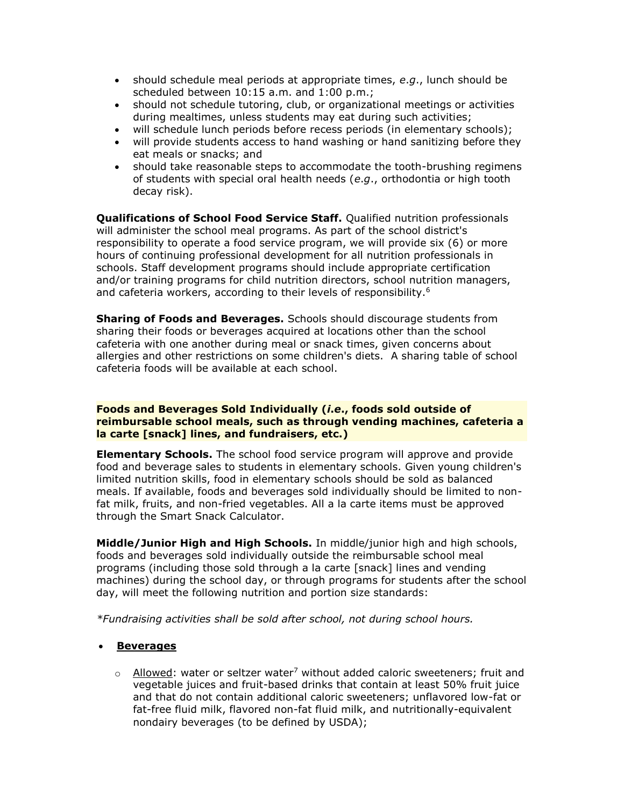- should schedule meal periods at appropriate times, *e*.*g*., lunch should be scheduled between 10:15 a.m. and 1:00 p.m.;
- should not schedule tutoring, club, or organizational meetings or activities during mealtimes, unless students may eat during such activities;
- will schedule lunch periods before recess periods (in elementary schools);
- will provide students access to hand washing or hand sanitizing before they eat meals or snacks; and
- should take reasonable steps to accommodate the tooth-brushing regimens of students with special oral health needs (*e*.*g*., orthodontia or high tooth decay risk).

**Qualifications of School Food Service Staff.** Qualified nutrition professionals will administer the school meal programs. As part of the school district's responsibility to operate a food service program, we will provide six (6) or more hours of continuing professional development for all nutrition professionals in schools. Staff development programs should include appropriate certification and/or training programs for child nutrition directors, school nutrition managers, and cafeteria workers, according to their levels of responsibility.<sup>6</sup>

**Sharing of Foods and Beverages.** Schools should discourage students from sharing their foods or beverages acquired at locations other than the school cafeteria with one another during meal or snack times, given concerns about allergies and other restrictions on some children's diets. A sharing table of school cafeteria foods will be available at each school.

#### **Foods and Beverages Sold Individually (***i***.***e***., foods sold outside of reimbursable school meals, such as through vending machines, cafeteria a la carte [snack] lines, and fundraisers, etc.)**

**Elementary Schools.** The school food service program will approve and provide food and beverage sales to students in elementary schools. Given young children's limited nutrition skills, food in elementary schools should be sold as balanced meals. If available, foods and beverages sold individually should be limited to nonfat milk, fruits, and non-fried vegetables. All a la carte items must be approved through the Smart Snack Calculator.

**Middle/Junior High and High Schools.** In middle/junior high and high schools, foods and beverages sold individually outside the reimbursable school meal programs (including those sold through a la carte [snack] lines and vending machines) during the school day, or through programs for students after the school day, will meet the following nutrition and portion size standards:

*\*Fundraising activities shall be sold after school, not during school hours.*

#### **Beverages**

 $\circ$  Allowed: water or seltzer water<sup>7</sup> without added caloric sweeteners; fruit and vegetable juices and fruit-based drinks that contain at least 50% fruit juice and that do not contain additional caloric sweeteners; unflavored low-fat or fat-free fluid milk, flavored non-fat fluid milk, and nutritionally-equivalent nondairy beverages (to be defined by USDA);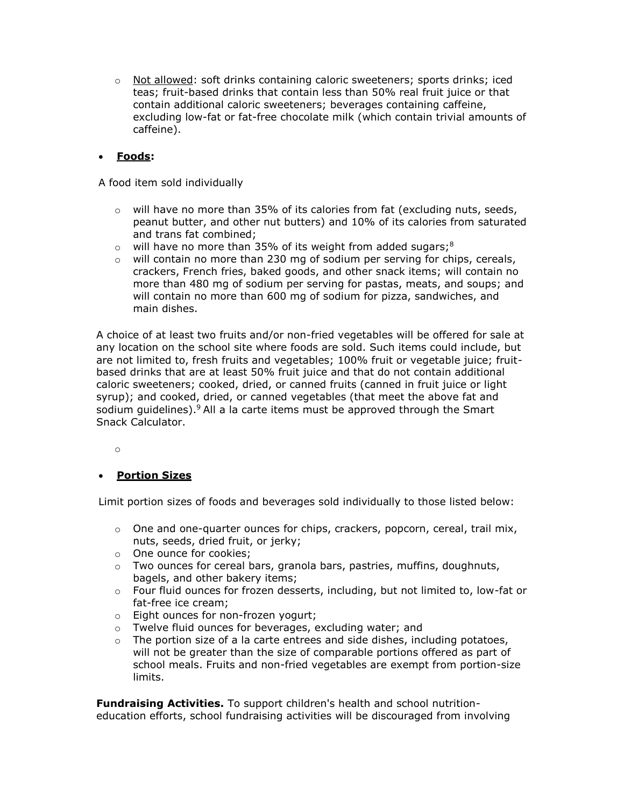o Not allowed: soft drinks containing caloric sweeteners; sports drinks; iced teas; fruit-based drinks that contain less than 50% real fruit juice or that contain additional caloric sweeteners; beverages containing caffeine, excluding low-fat or fat-free chocolate milk (which contain trivial amounts of caffeine).

# **Foods:**

A food item sold individually

- $\circ$  will have no more than 35% of its calories from fat (excluding nuts, seeds, peanut butter, and other nut butters) and 10% of its calories from saturated and trans fat combined;
- $\circ$  will have no more than 35% of its weight from added sugars;<sup>8</sup>
- $\circ$  will contain no more than 230 mg of sodium per serving for chips, cereals, crackers, French fries, baked goods, and other snack items; will contain no more than 480 mg of sodium per serving for pastas, meats, and soups; and will contain no more than 600 mg of sodium for pizza, sandwiches, and main dishes.

A choice of at least two fruits and/or non-fried vegetables will be offered for sale at any location on the school site where foods are sold. Such items could include, but are not limited to, fresh fruits and vegetables; 100% fruit or vegetable juice; fruitbased drinks that are at least 50% fruit juice and that do not contain additional caloric sweeteners; cooked, dried, or canned fruits (canned in fruit juice or light syrup); and cooked, dried, or canned vegetables (that meet the above fat and sodium guidelines).<sup>9</sup> All a la carte items must be approved through the Smart Snack Calculator.

o

# **Portion Sizes**

Limit portion sizes of foods and beverages sold individually to those listed below:

- $\circ$  One and one-quarter ounces for chips, crackers, popcorn, cereal, trail mix, nuts, seeds, dried fruit, or jerky;
- o One ounce for cookies;
- o Two ounces for cereal bars, granola bars, pastries, muffins, doughnuts, bagels, and other bakery items;
- $\circ$  Four fluid ounces for frozen desserts, including, but not limited to, low-fat or fat-free ice cream;
- o Eight ounces for non-frozen yogurt;
- o Twelve fluid ounces for beverages, excluding water; and
- The portion size of a la carte entrees and side dishes, including potatoes, will not be greater than the size of comparable portions offered as part of school meals. Fruits and non-fried vegetables are exempt from portion-size limits.

**Fundraising Activities.** To support children's health and school nutritioneducation efforts, school fundraising activities will be discouraged from involving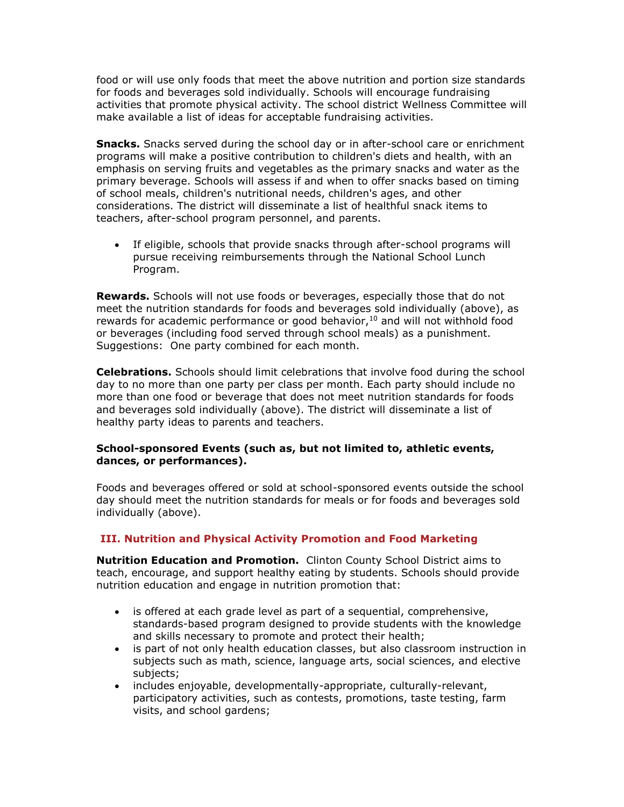food or will use only foods that meet the above nutrition and portion size standards for foods and beverages sold individually. Schools will encourage fundraising activities that promote physical activity. The school district Wellness Committee will make available a list of ideas for acceptable fundraising activities.

**Snacks.** Snacks served during the school day or in after-school care or enrichment programs will make a positive contribution to children's diets and health, with an emphasis on serving fruits and vegetables as the primary snacks and water as the primary beverage. Schools will assess if and when to offer snacks based on timing of school meals, children's nutritional needs, children's ages, and other considerations. The district will disseminate a list of healthful snack items to teachers, after-school program personnel, and parents.

 If eligible, schools that provide snacks through after-school programs will pursue receiving reimbursements through the National School Lunch Program.

**Rewards.** Schools will not use foods or beverages, especially those that do not meet the nutrition standards for foods and beverages sold individually (above), as rewards for academic performance or good behavior, $10$  and will not withhold food or beverages (including food served through school meals) as a punishment. Suggestions: One party combined for each month.

**Celebrations.** Schools should limit celebrations that involve food during the school day to no more than one party per class per month. Each party should include no more than one food or beverage that does not meet nutrition standards for foods and beverages sold individually (above). The district will disseminate a list of healthy party ideas to parents and teachers.

#### **School-sponsored Events (such as, but not limited to, athletic events, dances, or performances).**

Foods and beverages offered or sold at school-sponsored events outside the school day should meet the nutrition standards for meals or for foods and beverages sold individually (above).

# **III. Nutrition and Physical Activity Promotion and Food Marketing**

**Nutrition Education and Promotion.** Clinton County School District aims to teach, encourage, and support healthy eating by students. Schools should provide nutrition education and engage in nutrition promotion that:

- is offered at each grade level as part of a sequential, comprehensive, standards-based program designed to provide students with the knowledge and skills necessary to promote and protect their health;
- is part of not only health education classes, but also classroom instruction in subjects such as math, science, language arts, social sciences, and elective subjects;
- includes enjoyable, developmentally-appropriate, culturally-relevant, participatory activities, such as contests, promotions, taste testing, farm visits, and school gardens;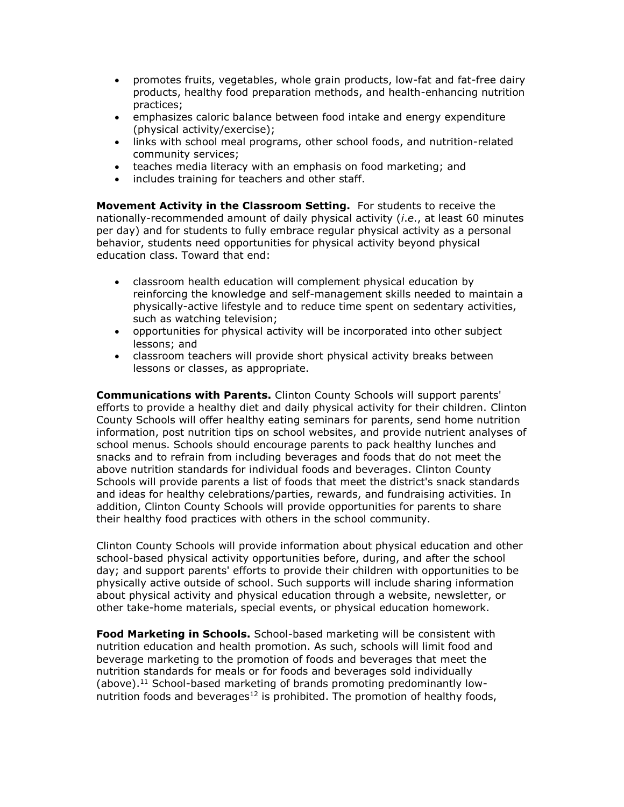- promotes fruits, vegetables, whole grain products, low-fat and fat-free dairy products, healthy food preparation methods, and health-enhancing nutrition practices;
- emphasizes caloric balance between food intake and energy expenditure (physical activity/exercise);
- links with school meal programs, other school foods, and nutrition-related community services;
- teaches media literacy with an emphasis on food marketing; and
- includes training for teachers and other staff.

**Movement Activity in the Classroom Setting.** For students to receive the nationally-recommended amount of daily physical activity (*i*.*e*., at least 60 minutes per day) and for students to fully embrace regular physical activity as a personal behavior, students need opportunities for physical activity beyond physical education class. Toward that end:

- classroom health education will complement physical education by reinforcing the knowledge and self-management skills needed to maintain a physically-active lifestyle and to reduce time spent on sedentary activities, such as watching television;
- opportunities for physical activity will be incorporated into other subject lessons; and
- classroom teachers will provide short physical activity breaks between lessons or classes, as appropriate.

**Communications with Parents.** Clinton County Schools will support parents' efforts to provide a healthy diet and daily physical activity for their children. Clinton County Schools will offer healthy eating seminars for parents, send home nutrition information, post nutrition tips on school websites, and provide nutrient analyses of school menus. Schools should encourage parents to pack healthy lunches and snacks and to refrain from including beverages and foods that do not meet the above nutrition standards for individual foods and beverages. Clinton County Schools will provide parents a list of foods that meet the district's snack standards and ideas for healthy celebrations/parties, rewards, and fundraising activities. In addition, Clinton County Schools will provide opportunities for parents to share their healthy food practices with others in the school community.

Clinton County Schools will provide information about physical education and other school-based physical activity opportunities before, during, and after the school day; and support parents' efforts to provide their children with opportunities to be physically active outside of school. Such supports will include sharing information about physical activity and physical education through a website, newsletter, or other take-home materials, special events, or physical education homework.

**Food Marketing in Schools.** School-based marketing will be consistent with nutrition education and health promotion. As such, schools will limit food and beverage marketing to the promotion of foods and beverages that meet the nutrition standards for meals or for foods and beverages sold individually (above).<sup>11</sup> School-based marketing of brands promoting predominantly lownutrition foods and beverages<sup>12</sup> is prohibited. The promotion of healthy foods,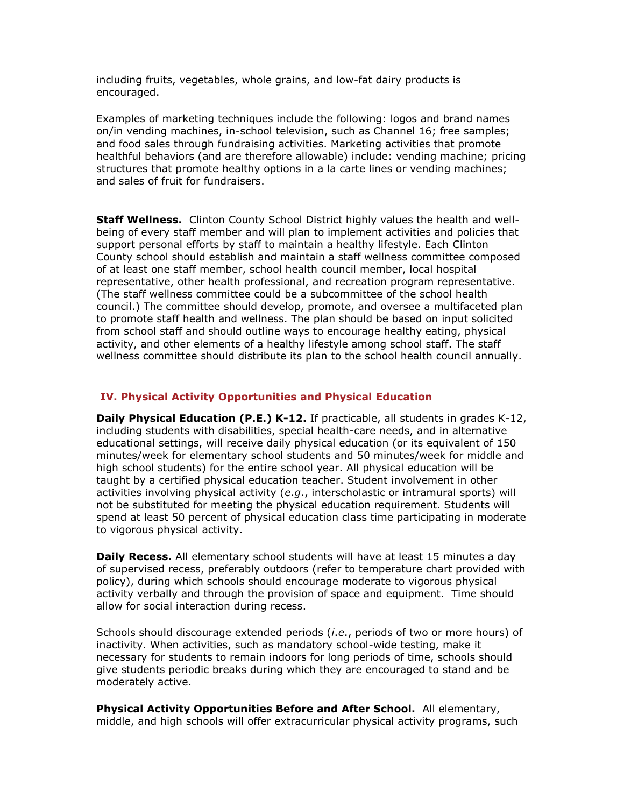including fruits, vegetables, whole grains, and low-fat dairy products is encouraged.

Examples of marketing techniques include the following: logos and brand names on/in vending machines, in-school television, such as Channel 16; free samples; and food sales through fundraising activities. Marketing activities that promote healthful behaviors (and are therefore allowable) include: vending machine; pricing structures that promote healthy options in a la carte lines or vending machines; and sales of fruit for fundraisers.

**Staff Wellness.** Clinton County School District highly values the health and wellbeing of every staff member and will plan to implement activities and policies that support personal efforts by staff to maintain a healthy lifestyle. Each Clinton County school should establish and maintain a staff wellness committee composed of at least one staff member, school health council member, local hospital representative, other health professional, and recreation program representative. (The staff wellness committee could be a subcommittee of the school health council.) The committee should develop, promote, and oversee a multifaceted plan to promote staff health and wellness. The plan should be based on input solicited from school staff and should outline ways to encourage healthy eating, physical activity, and other elements of a healthy lifestyle among school staff. The staff wellness committee should distribute its plan to the school health council annually.

#### **IV. Physical Activity Opportunities and Physical Education**

**Daily Physical Education (P.E.) K-12.** If practicable, all students in grades K-12, including students with disabilities, special health-care needs, and in alternative educational settings, will receive daily physical education (or its equivalent of 150 minutes/week for elementary school students and 50 minutes/week for middle and high school students) for the entire school year. All physical education will be taught by a certified physical education teacher. Student involvement in other activities involving physical activity (*e*.*g*., interscholastic or intramural sports) will not be substituted for meeting the physical education requirement. Students will spend at least 50 percent of physical education class time participating in moderate to vigorous physical activity.

**Daily Recess.** All elementary school students will have at least 15 minutes a day of supervised recess, preferably outdoors (refer to temperature chart provided with policy), during which schools should encourage moderate to vigorous physical activity verbally and through the provision of space and equipment. Time should allow for social interaction during recess.

Schools should discourage extended periods (*i*.*e*., periods of two or more hours) of inactivity. When activities, such as mandatory school-wide testing, make it necessary for students to remain indoors for long periods of time, schools should give students periodic breaks during which they are encouraged to stand and be moderately active.

**Physical Activity Opportunities Before and After School.** All elementary, middle, and high schools will offer extracurricular physical activity programs, such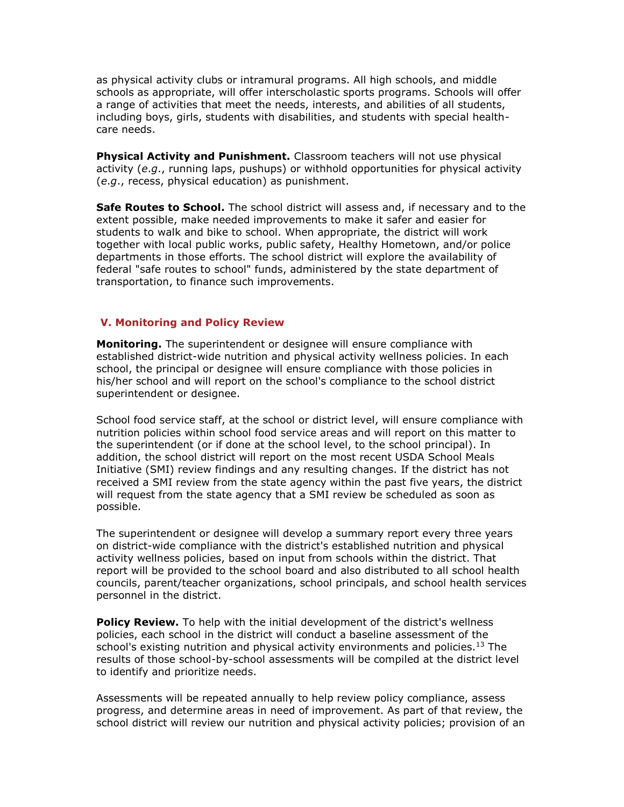as physical activity clubs or intramural programs. All high schools, and middle schools as appropriate, will offer interscholastic sports programs. Schools will offer a range of activities that meet the needs, interests, and abilities of all students, including boys, girls, students with disabilities, and students with special healthcare needs.

**Physical Activity and Punishment.** Classroom teachers will not use physical activity (*e*.*g*., running laps, pushups) or withhold opportunities for physical activity (*e*.*g*., recess, physical education) as punishment.

**Safe Routes to School.** The school district will assess and, if necessary and to the extent possible, make needed improvements to make it safer and easier for students to walk and bike to school. When appropriate, the district will work together with local public works, public safety, Healthy Hometown, and/or police departments in those efforts. The school district will explore the availability of federal "safe routes to school" funds, administered by the state department of transportation, to finance such improvements.

#### **V. Monitoring and Policy Review**

**Monitoring.** The superintendent or designee will ensure compliance with established district-wide nutrition and physical activity wellness policies. In each school, the principal or designee will ensure compliance with those policies in his/her school and will report on the school's compliance to the school district superintendent or designee.

School food service staff, at the school or district level, will ensure compliance with nutrition policies within school food service areas and will report on this matter to the superintendent (or if done at the school level, to the school principal). In addition, the school district will report on the most recent USDA School Meals Initiative (SMI) review findings and any resulting changes. If the district has not received a SMI review from the state agency within the past five years, the district will request from the state agency that a SMI review be scheduled as soon as possible.

The superintendent or designee will develop a summary report every three years on district-wide compliance with the district's established nutrition and physical activity wellness policies, based on input from schools within the district. That report will be provided to the school board and also distributed to all school health councils, parent/teacher organizations, school principals, and school health services personnel in the district.

**Policy Review.** To help with the initial development of the district's wellness policies, each school in the district will conduct a baseline assessment of the school's existing nutrition and physical activity environments and policies.<sup>13</sup> The results of those school-by-school assessments will be compiled at the district level to identify and prioritize needs.

Assessments will be repeated annually to help review policy compliance, assess progress, and determine areas in need of improvement. As part of that review, the school district will review our nutrition and physical activity policies; provision of an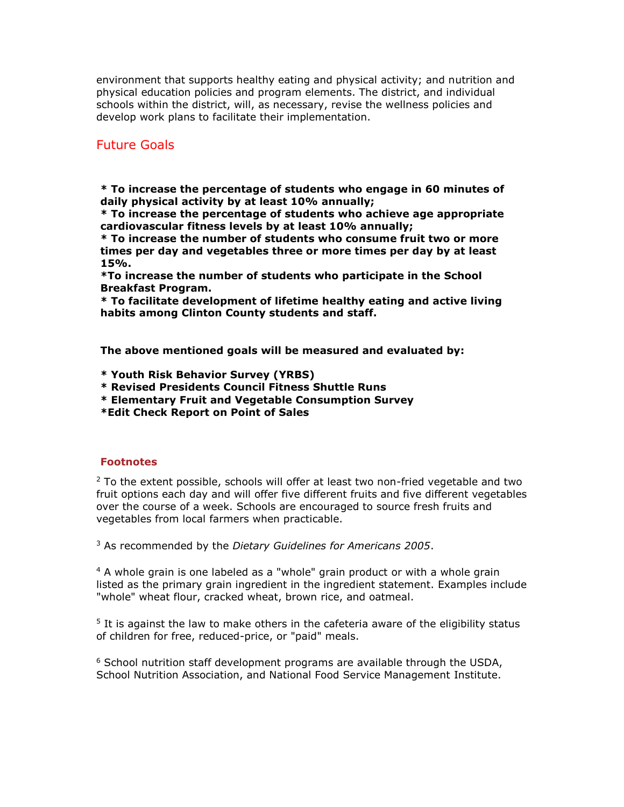environment that supports healthy eating and physical activity; and nutrition and physical education policies and program elements. The district, and individual schools within the district, will, as necessary, revise the wellness policies and develop work plans to facilitate their implementation.

# Future Goals

**\* To increase the percentage of students who engage in 60 minutes of daily physical activity by at least 10% annually;**

**\* To increase the percentage of students who achieve age appropriate cardiovascular fitness levels by at least 10% annually;**

**\* To increase the number of students who consume fruit two or more times per day and vegetables three or more times per day by at least 15%.** 

**\*To increase the number of students who participate in the School Breakfast Program.**

**\* To facilitate development of lifetime healthy eating and active living habits among Clinton County students and staff.** 

**The above mentioned goals will be measured and evaluated by:**

- **\* Youth Risk Behavior Survey (YRBS)**
- **\* Revised Presidents Council Fitness Shuttle Runs**
- **\* Elementary Fruit and Vegetable Consumption Survey**

**\*Edit Check Report on Point of Sales**

#### **Footnotes**

 $2$  To the extent possible, schools will offer at least two non-fried vegetable and two fruit options each day and will offer five different fruits and five different vegetables over the course of a week. Schools are encouraged to source fresh fruits and vegetables from local farmers when practicable.

<sup>3</sup> As recommended by the *Dietary Guidelines for Americans 2005*.

<sup>4</sup> A whole grain is one labeled as a "whole" grain product or with a whole grain listed as the primary grain ingredient in the ingredient statement. Examples include "whole" wheat flour, cracked wheat, brown rice, and oatmeal.

<sup>5</sup> It is against the law to make others in the cafeteria aware of the eligibility status of children for free, reduced-price, or "paid" meals.

 $6$  School nutrition staff development programs are available through the USDA, School Nutrition Association, and National Food Service Management Institute.